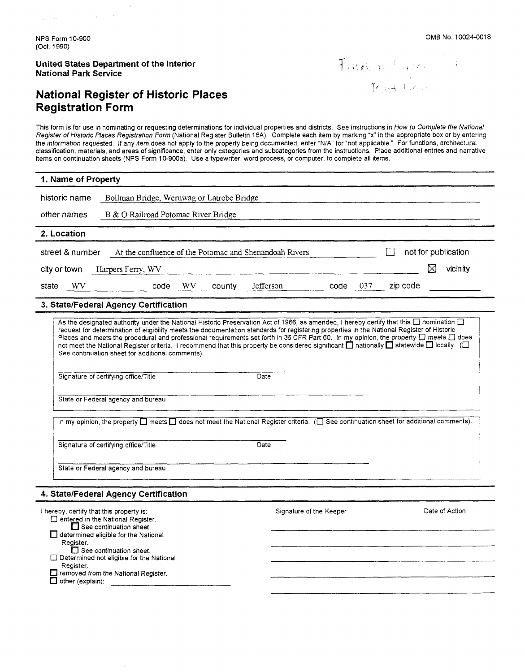$\sim$ 

**United States Department of the Interior National Park Service** 

# **National Register of Historic Places Registration Form**

 $\overline{1}$ 

 $\mathbf{r}$ 

Final policer is n<br>Roadligher

This form is for use in nominating or requesting determinations for individual properties and districts. See instructions in How to Complete the National Register of Historic Places Registration Form (National Register Bulletin 16A). Complete each item by marking **"x"** in the appropriate box or by entering the information requested. If any item does not apply to the property being documented, enter "N/A" for "not applicable." For functions, architectural classification, materials, and areas of significance, enter only categories and subcategories from the instructions. Place additional entries and narrative items on continuation sheets (NPS Form 10-900a). Use a typewriter, word process, or computer, to complete all items.

| 1. Name of Property                                                                                                                                                                                                                                                                                                                                                                                                                                                                                                                                                                                                                                                                                                                                                                                                                                                                                                                                                                       |  |  |  |
|-------------------------------------------------------------------------------------------------------------------------------------------------------------------------------------------------------------------------------------------------------------------------------------------------------------------------------------------------------------------------------------------------------------------------------------------------------------------------------------------------------------------------------------------------------------------------------------------------------------------------------------------------------------------------------------------------------------------------------------------------------------------------------------------------------------------------------------------------------------------------------------------------------------------------------------------------------------------------------------------|--|--|--|
| historic name<br>Bollman Bridge, Wernwag or Latrobe Bridge                                                                                                                                                                                                                                                                                                                                                                                                                                                                                                                                                                                                                                                                                                                                                                                                                                                                                                                                |  |  |  |
| other names<br>B & O Railroad Potomac River Bridge                                                                                                                                                                                                                                                                                                                                                                                                                                                                                                                                                                                                                                                                                                                                                                                                                                                                                                                                        |  |  |  |
| 2. Location                                                                                                                                                                                                                                                                                                                                                                                                                                                                                                                                                                                                                                                                                                                                                                                                                                                                                                                                                                               |  |  |  |
| At the confluence of the Potomac and Shenandoah Rivers<br>not for publication<br>street & number<br>⊠<br>vicinity<br>city or town<br>Harpers Ferry, WV                                                                                                                                                                                                                                                                                                                                                                                                                                                                                                                                                                                                                                                                                                                                                                                                                                    |  |  |  |
| Jefferson<br><b>WV</b><br>code WV<br>county<br>code<br>037<br>zip code<br>state                                                                                                                                                                                                                                                                                                                                                                                                                                                                                                                                                                                                                                                                                                                                                                                                                                                                                                           |  |  |  |
| 3. State/Federal Agency Certification                                                                                                                                                                                                                                                                                                                                                                                                                                                                                                                                                                                                                                                                                                                                                                                                                                                                                                                                                     |  |  |  |
| As the designated authority under the National Historic Preservation Act of 1966, as amended, I hereby certify that this □ nomination □<br>request for determination of eligibility meets the documentation standards for registering properties in the National Register of Historic<br>Places and meets the procedural and professional requirements set forth in 36 CFR Part 60. In my opinion, the property □ meets □ does<br>not meet the National Register criteria. I recommend that this property be considered significant nationally nationally at statewide nocally. (<br>See continuation sheet for additional comments).<br>Signature of certifying office/Title<br>Date<br>State or Federal agency and bureau<br>In my opinion, the property $\Box$ meets $\Box$ does not meet the National Register criteria. ( $\Box$ See continuation sheet for additional comments).<br>Signature of certifying office/Title<br>$\overline{Date}$<br>State or Federal agency and bureau |  |  |  |
| 4. State/Federal Agency Certification                                                                                                                                                                                                                                                                                                                                                                                                                                                                                                                                                                                                                                                                                                                                                                                                                                                                                                                                                     |  |  |  |
| Date of Action<br>Signature of the Keeper<br>I hereby, certify that this property is:<br>□ entered in the National Register.<br>$\Box$ See continuation sheet.<br>$\Box$ determined eligible for the National<br>Register.<br>$\Box$ See continuation sheet.<br>Determined not eligible for the National<br>Register.<br>removed from the National Register.<br>other (explain):<br>П                                                                                                                                                                                                                                                                                                                                                                                                                                                                                                                                                                                                     |  |  |  |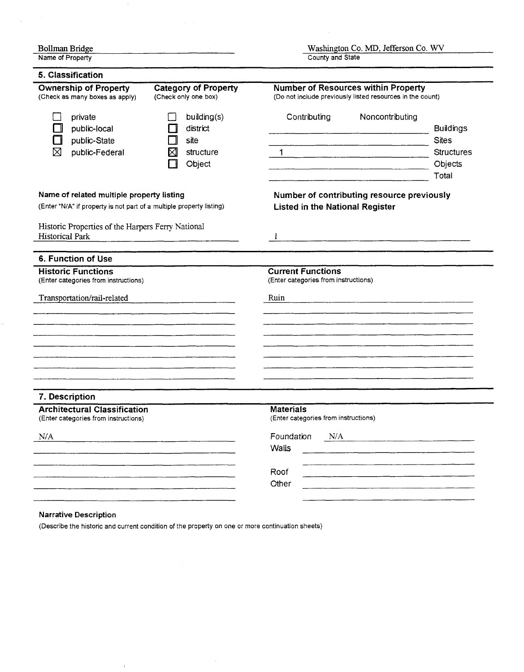| <b>Bollman Bridge</b>                                                                                             |                                                             | Washington Co. MD, Jefferson Co. WV                                                                                                                                                                                                                      |                                                                           |
|-------------------------------------------------------------------------------------------------------------------|-------------------------------------------------------------|----------------------------------------------------------------------------------------------------------------------------------------------------------------------------------------------------------------------------------------------------------|---------------------------------------------------------------------------|
| Name of Property                                                                                                  |                                                             | County and State                                                                                                                                                                                                                                         |                                                                           |
| 5. Classification                                                                                                 |                                                             |                                                                                                                                                                                                                                                          |                                                                           |
| <b>Ownership of Property</b><br>(Check as many boxes as apply)                                                    | <b>Category of Property</b><br>(Check only one box)         | <b>Number of Resources within Property</b><br>(Do not include previously listed resources in the count)                                                                                                                                                  |                                                                           |
| private<br>public-local<br>public-State<br>⊠<br>public-Federal                                                    | building(s)<br>district<br>site<br>X<br>structure<br>Object | Noncontributing<br>Contributing<br><u> 1980 - Andrea Albert III, martin a francouzski film (</u><br>$1 -$                                                                                                                                                | <b>Buildings</b><br><b>Sites</b><br><b>Structures</b><br>Objects<br>Total |
| Name of related multiple property listing<br>(Enter "N/A" if property is not part of a multiple property listing) |                                                             | Number of contributing resource previously<br><b>Listed in the National Register</b>                                                                                                                                                                     |                                                                           |
| Historic Properties of the Harpers Ferry National<br><b>Historical Park</b>                                       |                                                             |                                                                                                                                                                                                                                                          |                                                                           |
| 6. Function of Use                                                                                                |                                                             |                                                                                                                                                                                                                                                          |                                                                           |
| <b>Historic Functions</b><br>(Enter categories from instructions)<br>Transportation/rail-related                  |                                                             | <b>Current Functions</b><br>(Enter categories from instructions)<br>Ruin<br><u> 1980 - Andrea Maria Alemania, martin a filozofia a filozofia a filozofia a filozofia a filozofia a filozofia </u>                                                        |                                                                           |
|                                                                                                                   |                                                             |                                                                                                                                                                                                                                                          |                                                                           |
|                                                                                                                   |                                                             |                                                                                                                                                                                                                                                          |                                                                           |
| 7. Description                                                                                                    |                                                             |                                                                                                                                                                                                                                                          |                                                                           |
| <b>Architectural Classification</b><br>(Enter categories from instructions)                                       |                                                             | <b>Materials</b><br>(Enter categories from instructions)                                                                                                                                                                                                 |                                                                           |
| N/A                                                                                                               |                                                             | Foundation N/A<br>the control of the control of the control of the control of the control of the control of the control of the control of the control of the control of the control of the control of the control of the control of the control<br>Walls |                                                                           |
|                                                                                                                   |                                                             | Roof                                                                                                                                                                                                                                                     |                                                                           |
|                                                                                                                   |                                                             | Other                                                                                                                                                                                                                                                    |                                                                           |

#### Narrative Description

 $\bar{1}$ 

 $\bar{z}$ 

 $\sim$ 

(Describe the historic and current condition of the property on one or more continuation sheets)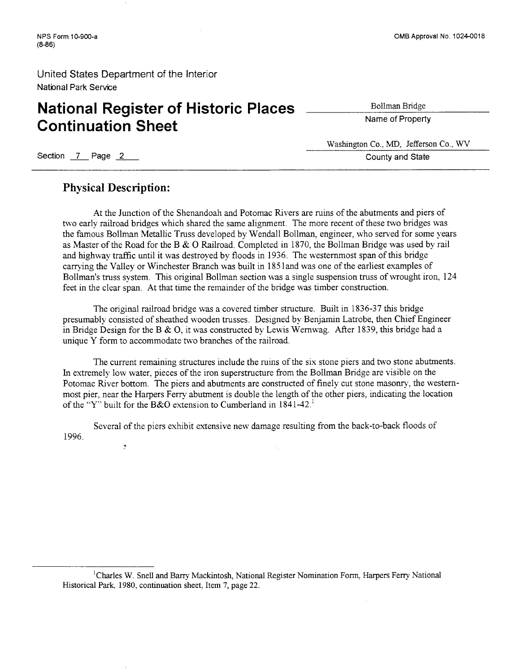# **National Register of Historic Places Continuation Sheet**  CONTINUATION SNEET<br>
Section 7 Page 2 County and State

Bollman Bridge

Name of Property

Washington Co., MD, Jefferson Co., WV

### **Physical Description:**

\*

At the Junction of the Shenandoah and Potomac kvers are ruins of the abutments and piers of two early railroad bridges whch shared the same alignment. The more recent of these two bridges was the famous Bollman Metallic Truss developed by Wendall Bollman, engineer, who served for some years as Master of the Road for the B & 0 Railroad. Completed in 1870, the Bollman Bridge was used by rail and hghway traffic until it was destroyed by floods in 1936. The westemmost span of this bridge carrying the Valley or Winchester Branch was built in 1851 and was one of the earliest examples of Bollman's truss system. This original Bollman section was a single suspension truss of wrought iron, 124 feet in the clear span. At that time the remainder of the bridge was timber construction.

The original railroad bridge was a covered timber structure. Built in 1836-37 ths bridge presumably consisted of sheathed wooden trusses. Designed by Benjamin Latrobe, then Chief Engineer in Bridge Design for the B & 0, it was constructed by Lewis Wernwag. After 1839, this bridge had a unique Y form to accommodate two branches of the railroad.

The current remaining structures include the ruins of the six stone piers and two stone abutments. In extremely low water, pieces of the iron superstructure from the Bollman Bridge are visible on the Potomac River bottom. The piers and abutments are constructed of finely cut stone masonry, the westernmost pier, near the Harpers Feny abutment is double the length of the other piers, indicating the location of the "Y" built for the B&O extension to Cumberland in  $1841-42$ ."

Several of the piers exhibit extensive new damage resulting from the back-to-back floods of 1996.

<sup>1</sup>Charles W. Snell and Barry Mackintosh, National Register Nomination Form, Harpers Ferry National Historical Park, 1980, continuation sheet, Item 7, page 22.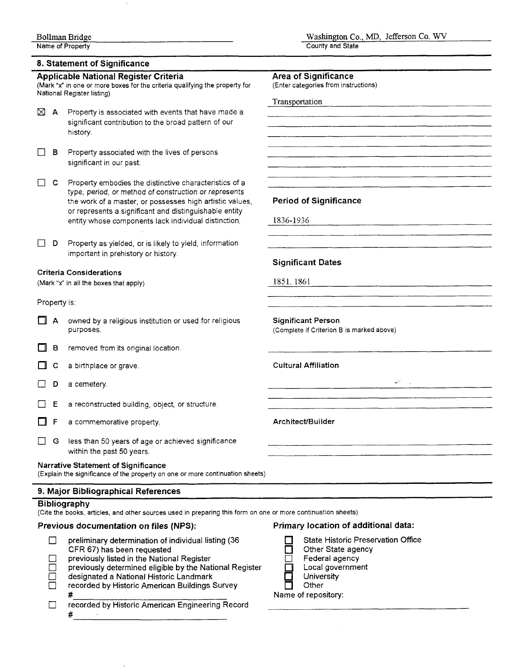# - **8. Statement of Sianificance**

#### **Applicable National Register Criteria**

(Mark "x" in one or more boxes for the criteria qualifying the pro National Register listing)

- $\boxtimes$  **A** Property is associated with events that have made significant contribution to the broad pattern of o history.
- **B** Property associated with the lives of persons significant in our past.
- $\Box$  C Property embodies the distinctive characteristic type, period, or method of construction or repre the work of a master, or possesses high artistic or represents a significant and distinguishable entity whose components lack individual distinc
- **D D** Property as yielded, or is likely to yield, information important in prehistory or history.

#### Criteria Considerations

(Mark "x" in all the boxes that apply)

#### Property is:

- $\Box$  A owned by a religious institution or used for relig
- **B** removed from its original location.
- $\Box$  C a birthplace or grave.
- D a cemetery.
- $\Box$  **E** a reconstructed building, object, or structure.
- $\Box$  F a commemorative property.
- **G** less than 50 years of age or achieved significantless within the past 50 years.

#### Narrative Statement **of** Significance

(Explain the significance of the property on one or more contin

#### **9. Major Bibliographical References**

#### **Bibliography**

(Cite the books, articles, and other sources used in preparing t

#### **Previous documentation on files (NPS):**

| preliminary determination of individual listing (36     | <b>State Historic Preservation Office</b> |
|---------------------------------------------------------|-------------------------------------------|
| CFR 67) has been requested                              | Other State agency                        |
| previously listed in the National Register              | Federal agency                            |
| previously determined eligible by the National Register | Local government                          |
| designated a National Historic Landmark                 | University                                |
| recorded by Historic American Buildings Survey          | Other                                     |
|                                                         | Name of repository:                       |
| recorded by Historic American Engineering Record        |                                           |
|                                                         |                                           |

| ble National Register Criteria<br>one or more boxes for the criteria qualifying the property for                  | <b>Area of Significance</b><br>(Enter categories from instructions) |
|-------------------------------------------------------------------------------------------------------------------|---------------------------------------------------------------------|
| egister listing)                                                                                                  | Transportation                                                      |
| Property is associated with events that have made a                                                               |                                                                     |
| significant contribution to the broad pattern of our                                                              |                                                                     |
| iistory.                                                                                                          |                                                                     |
| Property associated with the lives of persons                                                                     |                                                                     |
| significant in our past.                                                                                          |                                                                     |
|                                                                                                                   |                                                                     |
| Property embodies the distinctive characteristics of a                                                            |                                                                     |
| ype, period, or method of construction or represents                                                              |                                                                     |
| he work of a master, or possesses high artistic values,<br>or represents a significant and distinguishable entity | <b>Period of Significance</b>                                       |
| entity whose components lack individual distinction.                                                              | 1836-1936                                                           |
|                                                                                                                   |                                                                     |
| Property as yielded, or is likely to yield, information                                                           |                                                                     |
| mportant in prehistory or history.                                                                                |                                                                     |
|                                                                                                                   | <b>Significant Dates</b>                                            |
| <b>Considerations</b>                                                                                             | 1851, 1861                                                          |
| all the boxes that apply)                                                                                         |                                                                     |
| s:                                                                                                                |                                                                     |
|                                                                                                                   |                                                                     |
| owned by a religious institution or used for religious<br>ourposes.                                               | <b>Significant Person</b>                                           |
|                                                                                                                   | (Complete if Criterion B is marked above)                           |
| emoved from its original location.                                                                                |                                                                     |
|                                                                                                                   | <b>Cultural Affiliation</b>                                         |
| a birthplace or grave.                                                                                            |                                                                     |
| a cemetery.                                                                                                       | $\sim 10^{11}$                                                      |
|                                                                                                                   |                                                                     |
| a reconstructed building, object, or structure.                                                                   |                                                                     |
| a commemorative property.                                                                                         | Architect/Builder                                                   |
|                                                                                                                   |                                                                     |
| ess than 50 years of age or achieved significance                                                                 |                                                                     |
| within the past 50 years.                                                                                         |                                                                     |
| <b>Statement of Significance</b><br>e significance of the property on one or more continuation sheets)            |                                                                     |
| <b>Bibliographical References</b>                                                                                 |                                                                     |
| aphy                                                                                                              |                                                                     |
| ooks, articles, and other sources used in preparing this form on one or more continuation sheets)                 |                                                                     |
| s documentation on files (NPS):                                                                                   | Primary location of additional data:                                |
| preliminary determination of individual listing (36                                                               | State Historic Preservation Office                                  |
| CFR 67) has been requested                                                                                        | Other State agency                                                  |
| previously listed in the National Register                                                                        | Federal agency                                                      |
| previously determined eligible by the National Register                                                           | Local government                                                    |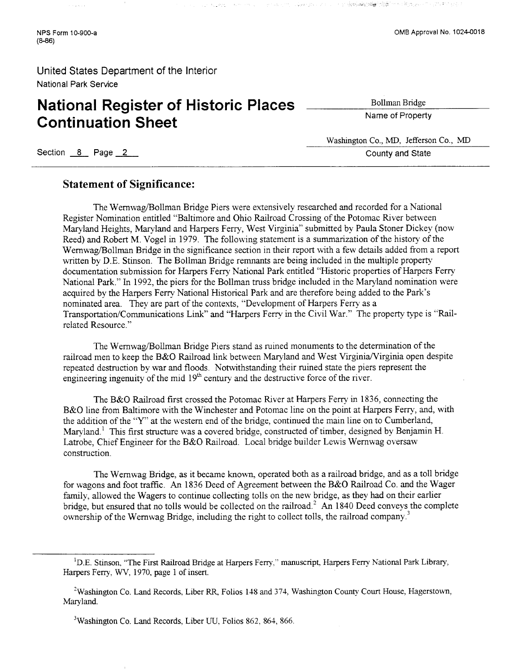# **National Register of Historic Places Continuation Sheet**

Bollman Bridge

in ist keppelaan

 $\lambda = 1$ 

Name of Property

Washington Co., MD, Jefferson Co., MD Exercise Constructed Construction Construction Construction Construction Construction Construction County and State County and State

### **Statement of Significance:**

The Wernwag/Bollman Bridge Piers were extensively researched and recorded for a National Register Nomination entitled "Baltimore and Ohio Railroad Crossing of the Potomac River between Maryland Heights, Maryland and Harpers Ferry, West Virginia" submitted by Paula Stoner Dickey (now Reed) and Robert M. Vogel in 1979. The following statement is a summarization of the history of the Wernwag/Bollman Bridge in the significance section in their report with a few details added from a report written by D.E. Stinson. The Bollman Bridge remnants are being included in the multiple property documentation submission for Harpers Ferry National Park entitled "Historic properties of Harpers Ferry National Park." In 1992, the piers for the Bollman truss bridge included in the Maryland nomination were acquired by the Harpers Ferry National Historical Park and are therefore being added to the Park's nominated area. They are part of the contexts, "Development of Harpers Ferry as a Transportation/Communications Link" and "Harpers Feny in the Civil War." The property type is "Railrelated Resource."

The Wernwag/Bollman Bridge Piers stand as ruined monuments to the determination of the railroad men to keep the B&O Railroad link between Maryland and West Virginia/Virginia open despite repeated destruction by war and floods. Notwithstandmg their ruined state the piers represent the engineering ingenuity of the mid  $19<sup>th</sup>$  century and the destructive force of the river.

The B&O Railroad first crossed the Potomac River at Harpers Ferry in 1836, connecting the B&O line from Baltimore with the Winchester and Potomac line on the point at Harpers Ferry, and, with the addtion of the **'Y"** at the western end of the bridge, continued the main line on to Cumberland, Maryland.<sup>1</sup> This first structure was a covered bridge, constructed of timber, designed by Benjamin H. Latrobe, Chief Engineer for the B&O Railroad. Local bridge builder Lewis Wernwag oversaw construction.

The Wernwag Bridge, as it became known, operated both as a railroad bridge, and as a toll bridge for wagons and foot traffic. **An** 1836 Deed of Agreement between the B&O Railroad Co. and the Wager family, allowed the Wagers to continue collecting tolls on the new bridge, as they had on their earlier bridge, but ensured that no tolls would be collected on the railroad.' **An** 1840 Deed conveys the complete ownership of the Wernwag Bridge, including the right to collect tolls, the railroad company.<sup>3</sup>

**<sup>I</sup>**D.E. Stinson, "The First Railroad Bridge at Harpers Ferry," manuscript, Harpers Ferry National Park Library, Harpers Ferry, WV, 1970, page 1 of insert.

<sup>&</sup>lt;sup>2</sup> Washington Co. Land Records, Liber RR, Folios 148 and 374, Washington County Court House, Hagerstown, Maryland.

*<sup>3</sup>*Washmgton Co. Land Records, Liber UU, Folios 862, 864, 866.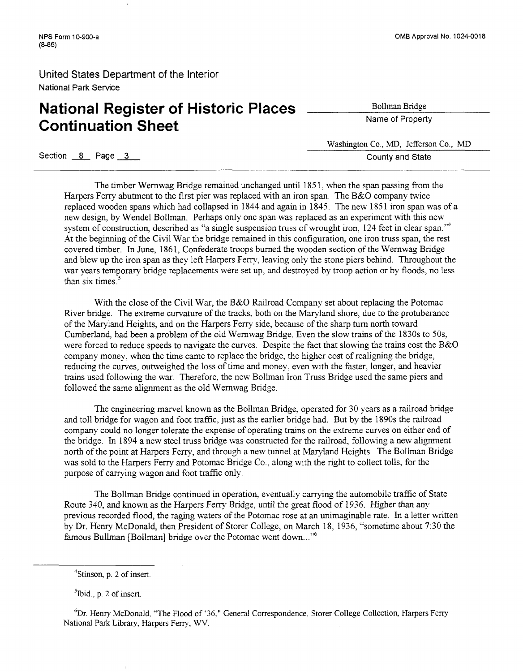# **National Register of Historic Places** <u>Collman Bridge</u> **Continuation Sheet**

Washington Co., MD, Jefferson Co., MD - Section <u>8</u> Page 3 **County and State**<br>Section 8 Page 3 **County and State** 

The timber Wernwag Bridge remained unchanged until 185 1, when the span passing fiom the Harpers Ferry abutment to the first pier was replaced with an iron span. The B&O company twice replaced wooden spans which had collapsed in 1844 and again in 1845. The new 1851 iron span was of a new design, by Wendel Bollman. Perhaps only one span was replaced as an experiment with this new system of construction, described as "a single suspension truss of wrought iron, 124 feet in clear span."<sup>4</sup> At the beginning of the Civil War the bridge remained in this configuration, one iron truss span, the rest covered timber. In June, 186 1, Confederate troops burned the wooden section of the Wernwag Bridge and blew up the iron span as they left Harpers Ferry, leaving only the stone piers behind. Throughout the war years temporary bridge replacements were set up, and destroyed by troop action or by floods, no less than six times. $5$ 

With the close of the Civil War, the B&O Railroad Company set about replacing the Potomac River bridge. The extreme curvature of the tracks, both on the Maryland shore, due to the protuberance of the Maryland Heights, and on the Harpers Feny side, because of the sharp turn north toward Cumberland, had been a problem of the old Wernwag Bridge. Even the slow trains of the 1830s to 50s, were forced to reduce speeds to navigate the curves. Despite the fact that slowing the trains cost the B&O company money, when the time came to replace the bridge, the higher cost of realigning the bridge, reducing the curves, outweighed the loss of time and money, even with the faster, longer, and heavier trains used following the war. Therefore, the new Bollrnan Iron Truss Bridge used the same piers and followed the same alignment as the old Wernwag Bridge.

The engineering marvel known as the Bollman Bridge, operated for 30 years as a railroad bridge and toll bridge for wagon and foot traffic, just as the earlier bridge had. But by the 1890s the railroad company could no longer tolerate the expense of operating trains on the extreme curves on either end of the bridge. In 1894 a new steel truss bridge was constructed for the railroad, following a new alignment north of the point at Harpers Ferry, and through a new tunnel at Maryland Heights. The BolIman Bridge was sold to the Harpers Ferry and Potomac Bridge Co., along with the right to collect tolls, for the purpose of carrymg wagon and foot traffic only.

The Bollman Bridge continued in operation, eventually carrying the automobile traffic of State Route 340, and known as the Harpers Ferry Bridge, until the great flood of 1936. Higher than any previous recorded flood, the raging waters of the Potomac rose at an unimaginable rate. In a letter written by Dr. Henry McDonald, then President of Storer College, on March 18, 1936, "sometime about 7:30 the famous Bullman [Bollman] bridge over the Potomac went down..."<sup>6</sup>

 ${}^6Dr$ . Henry McDonald, "The Flood of '36," General Correspondence, Storer College Collection, Harpers Ferry National Park Library, Harpers Feny, WV.

<sup>&</sup>lt;sup>4</sup>Stinson, p. 2 of insert.

 $<sup>5</sup>$  Ibid., p. 2 of insert.</sup>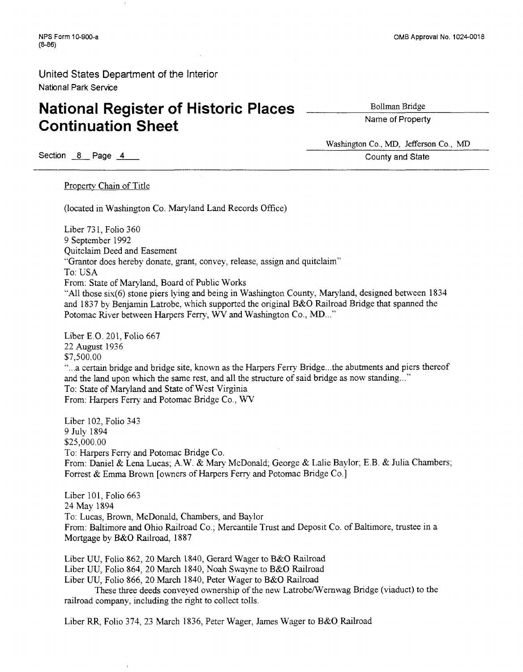# **National Register of Historic Places Continuation Sheet**

Bollman Bridge

Name of Property

Washington Co., MD, Jefferson Co., MD Section <u>8</u> Page <u>4</u> **County and State**<br>Section <u>8</u> Page <u>4</u> **County and State** 

Property Chain of Title

(located in Washington Co. Maryland Land Records Office)

Liber 73 1, Folio 360 9 September 1992 Quitclaim Deed and Easement "Grantor does hereby donate, grant, convey, release, assign and quitclaim" To: USA From: State of Maryland, Board of Public Works "All those six(6) stone piers lying and being in Washmgton County, Maryland, designed between 1834 and 1837 by Benjamin Latrobe, which supported the original B&O Railroad Bridge that spanned the Potomac River between Harpers Ferry, WV and Washington Co., MD..."

Liber E.O. 201, Folio 667 22 August 1936 \$7,500.00 "...a certain bridge and bridge site, known as the Harpers Ferry Bridge.. .the abutments and piers thereof and the land upon which the same rest, and all the structure of said bridge as now standing..." To: State of Maryland and State of West Virginia From: Harpers Ferry and Potomac Bridge Co., WV

Liber 102, Folio 343 9 July 1894 \$25,000.00 To: Harpers Feny and Potomac Bridge Co. From: Daniel & Lena Lucas; A.W. & Mary McDonald; George & Lalie Baylor; E.B. & Julia Chambers; Forrest & Emma Brown [owners of Harpers Ferry and Potomac Bridge Co.]

Liber 101, Folio  $663$ 24 May 1894 To: Lucas, Brown, McDonald, Chambers, and Baylor From: Baltimore and Ohio Railroad Co.; Mercantile Trust and Deposit Co. of Baltimore, trustee in a Mortgage by B&O Railroad, 1887

Liber UU, Folio 862, 20 March 1840, Gerard Wager to B&O Railroad Liber UU, Folio 864, 20 March 1840, Noah Swayne to B&O Railroad Liber UU, Folio 866, 20 March 1840, Peter Wager to B&O Railroad These three deeds conveyed ownership of the new Latrobe~Wernwag Bridge (viaduct) to the railroad company, including the right to collect tolls.

Liber RR, Folio 374, 23 March 1836, Peter Wager, James Wager to B&O Railroad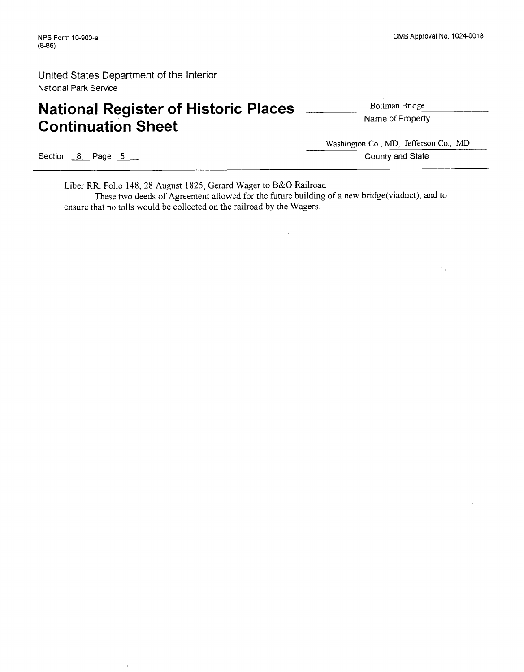l,

# **National Register of Historic Places** <u>Collman Bridge</u> **Continuation Sheet**

Section **8** Page **<sup>5</sup>**

Washington Co., MD, Jefferson Co., MD

County and State

Liber RR, Folio 148, 28 August 1825, Gerard Wager to B&O Railroad

These two deeds of Agreement allowed for the future building of a new bridge(viaduct), and to ensure that no tolls would be collected on the railroad by the Wagers.

٠.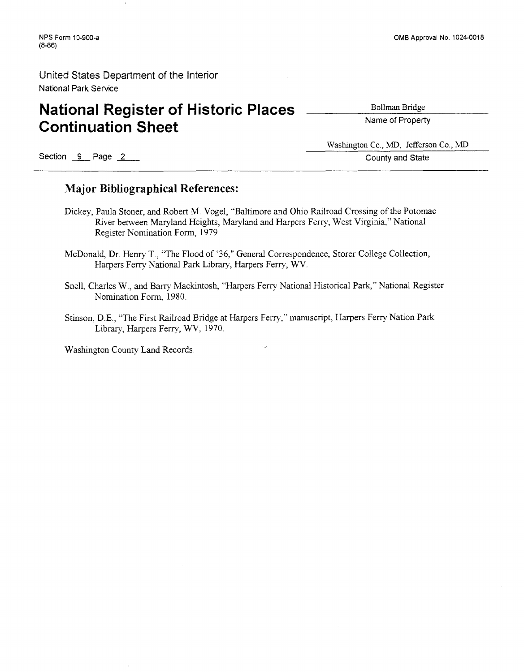# **National Register of Historic Places** <u>Collman Bridge</u> **Continuation Sheet**

Section 9 Page 2

Washington Co., MD, Jefferson Co., MD

County and State

### **Major Bibliographical References:**

- Dickey, Paula Stoner, and Robert M. Vogel, "Baltimore and Ohio Railroad Crossing of the Potomac River between Maryland Heights, Maryland and Harpers Ferry, West Virginia," National Register Nomination Form, 1979.
- McDonald, Dr. Henry T., 'The Flood of '36," General Correspondence, Storer College Collection, Harpers Ferry National Park Library, Harpers Ferry, W.
- Snell, Charles W., and Barry Mackintosh, "Harpers Ferry National Historical Park," National Register Nomination Form, 1980.
- Stinson, D.E., 'The First Railroad Bridge at Harpers Ferry," manuscript, Harpers Ferry Nation Park Library, Harpers Ferry, WV, 1970.

Washington County Land Records.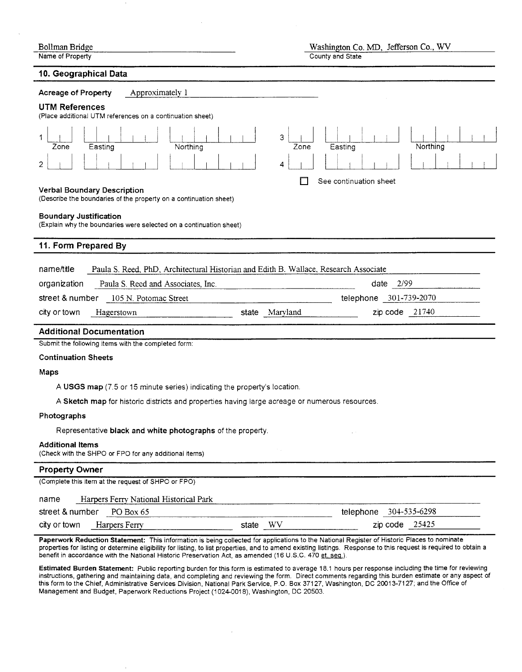| Bollman Bridge   |  |
|------------------|--|
| Name of Property |  |

#### **10. Geographical Data**

-

 $\mathbf{r}$ 

| 10. Geographical Data                                                                                   |                                       |
|---------------------------------------------------------------------------------------------------------|---------------------------------------|
| <b>Acreage of Property</b><br>Approximately 1                                                           |                                       |
| <b>UTM References</b><br>(Place additional UTM references on a continuation sheet)                      |                                       |
| Easting<br>Northing<br>Zone<br>2                                                                        | 3<br>Northing<br>Zone<br>Easting<br>4 |
|                                                                                                         | See continuation sheet                |
| <b>Verbal Boundary Description</b><br>(Describe the boundaries of the property on a continuation sheet) |                                       |
| <b>Boundary Justification</b><br>(Explain why the boundaries were selected on a continuation sheet)     |                                       |
| 11. Form Prepared By                                                                                    |                                       |
| name/title<br>Paula S. Reed, PhD, Architectural Historian and Edith B. Wallace, Research Associate      |                                       |
| Paula S. Reed and Associates, Inc.<br>organization                                                      | date $2/99$                           |
| street & number<br>105 N. Potomac Street                                                                | telephone 301-739-2070                |
| city or town<br>Hagerstown<br>state                                                                     | $zip code$ 21740<br>Maryland          |
| <b>Additional Documentation</b>                                                                         |                                       |
| Submit the following items with the completed form:                                                     |                                       |
| <b>Continuation Sheets</b>                                                                              |                                       |
| Maps                                                                                                    |                                       |
| A USGS map (7.5 or 15 minute series) indicating the property's location.                                |                                       |
| A Sketch map for historic districts and properties having large acreage or numerous resources.          |                                       |
| Photographs                                                                                             |                                       |
| Representative black and white photographs of the property.                                             |                                       |
| <b>Additional Items</b><br>(Check with the SHPO or FPO for any additional items)                        |                                       |
| <b>Property Owner</b>                                                                                   |                                       |
| (Complete this item at the request of SHPO or FPO)                                                      |                                       |
| Harpers Ferry National Historical Park<br>name                                                          |                                       |
| street & number PO Box 65                                                                               | telephone 304-535-6298                |
| city or town<br>Harpers Ferry                                                                           | $zip code$ 25425<br>state WV          |
|                                                                                                         |                                       |

Paperwork Reduction Statement: This information is being collected for applications to the National Register of Historic Places to nominate properties for listing or determine eligibility for listing, to list properties, and to amend existing listings. Response to this request is required to obtain a benefit in accordance with the National Historic Preservation Act, as amended (16 U.S.C. 470 et. seq.).

Estimated Burden Statement: Public reporting burden for this form is estimated to average 18.1 hours per response including the time for reviewing instructions, gathering and maintaining data, and completing and reviewing the form. Direct comments regarding this burden estimate or any aspect of this form to the Chief, Administrative Services Division, National Park Service, P.O. Box 37127, Washington, DC 20013-7127; and the Office of Management and Budget, Paperwork Reductions Project (1 024001 8), Washington, DC 20503.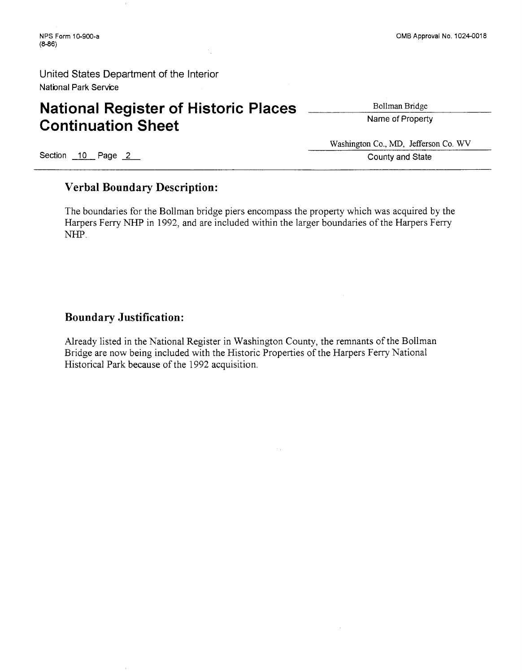# **National Register of Historic Places** <u>Collman Bridge</u> **Continuation Sheet**

Washington Co., MD, Jefferson Co. WV Exection 10 Page 2 County and State

### **Verbal Boundary Description:**

The boundaries for the Bollman bridge piers encompass the property which was acquired by the Harpers Ferry NHP in 1992, and are included within the larger boundaries of the Harpers Ferry *NHP.* 

### **Boundary Justification:**

Already listed in the National Register in Washington County, the remnants of the Bollman Bridge are now being included with the Historic Properties of the Harpers Ferry National Historical Park because of the 1992 acquisition.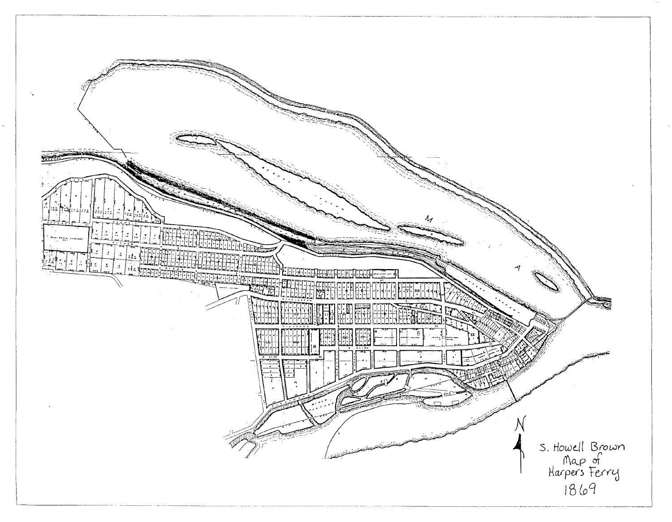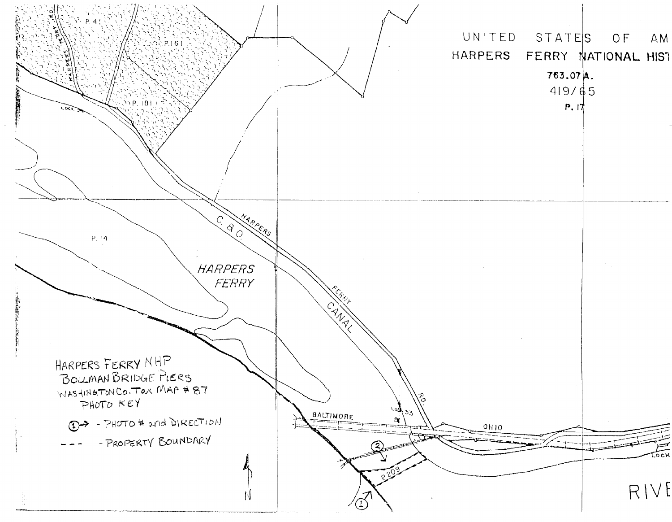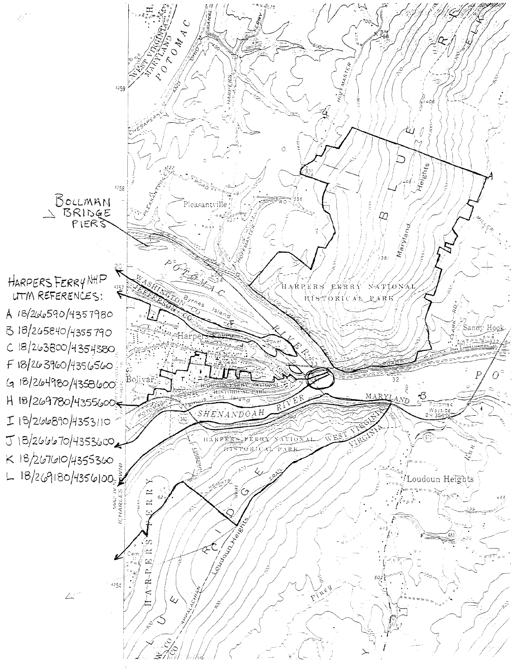